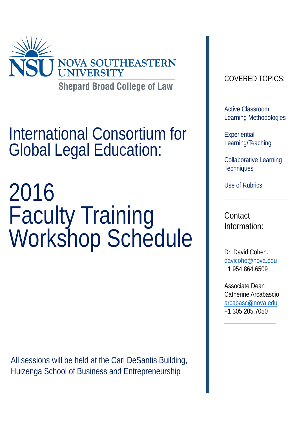

International Consortium for Global Legal Education:

2016 Faculty Training<br>Workshop Schedule

All sessions will be held at the Carl DeSantis Building, Huizenga School of Business and Entrepreneurship

# COVERED TOPICS:

Active Classroom Learning Methodologies

**Experiential** Learning/Teaching

Collaborative Learning **Techniques** 

Use of Rubrics

**Contact** Information:

Dr. David Cohen. davicohe@nova.edu +1 954.864.6509

Associate Dean Catherine Arcabascio arcabasc@nova.edu +1 305.205.7050

 $\overline{\phantom{a}}$  , where  $\overline{\phantom{a}}$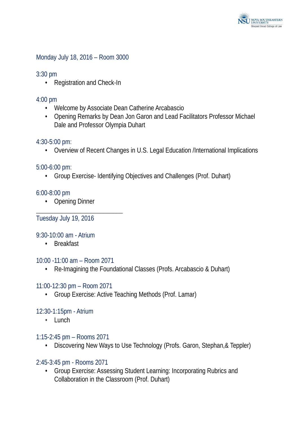

## Monday July 18, 2016 – Room 3000

#### 3:30 pm

• Registration and Check-In

#### 4:00 pm

- Welcome by Associate Dean Catherine Arcabascio
- Opening Remarks by Dean Jon Garon and Lead Facilitators Professor Michael Dale and Professor Olympia Duhart

4:30-5:00 pm:

• Overview of Recent Changes in U.S. Legal Education /International Implications

#### 5:00-6:00 pm:

• Group Exercise- Identifying Objectives and Challenges (Prof. Duhart)

## 6:00-8:00 pm

• Opening Dinner

\_\_\_\_\_\_\_\_\_\_\_\_\_\_\_\_\_\_\_\_\_\_\_\_\_\_\_

Tuesday July 19, 2016

#### 9:30-10:00 am - Atrium

• Breakfast

#### 10:00 -11:00 am – Room 2071

• Re-Imagining the Foundational Classes (Profs. Arcabascio & Duhart)

#### 11:00-12:30 pm – Room 2071

• Group Exercise: Active Teaching Methods (Prof. Lamar)

## 12:30-1:15pm - Atrium

• Lunch

## 1:15-2:45 pm – Rooms 2071

• Discovering New Ways to Use Technology (Profs. Garon, Stephan,& Teppler)

## 2:45-3:45 pm - Rooms 2071

• Group Exercise: Assessing Student Learning: Incorporating Rubrics and Collaboration in the Classroom (Prof. Duhart)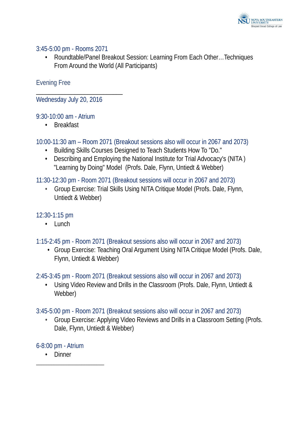

## 3:45-5:00 pm - Rooms 2071

• Roundtable/Panel Breakout Session: Learning From Each Other…Techniques From Around the World (All Participants)

Evening Free

Wednesday July 20, 2016

\_\_\_\_\_\_\_\_\_\_\_\_\_\_\_\_\_\_\_\_\_\_\_\_\_\_\_

# 9:30-10:00 am - Atrium

• Breakfast

10:00-11:30 am – Room 2071 (Breakout sessions also will occur in 2067 and 2073)

- Building Skills Courses Designed to Teach Students How To "Do."
- Describing and Employing the National Institute for Trial Advocacy's (NITA ) "Learning by Doing" Model (Profs. Dale, Flynn, Untiedt & Webber)

11:30-12:30 pm - Room 2071 (Breakout sessions will occur in 2067 and 2073)

• Group Exercise: Trial Skills Using NITA Critique Model (Profs. Dale, Flynn, Untiedt & Webber)

12:30-1:15 pm

- Lunch
- 1:15-2:45 pm Room 2071 (Breakout sessions also will occur in 2067 and 2073)
	- Group Exercise: Teaching Oral Argument Using NITA Critique Model (Profs. Dale, Flynn, Untiedt & Webber)

2:45-3:45 pm - Room 2071 (Breakout sessions also will occur in 2067 and 2073)

• Using Video Review and Drills in the Classroom (Profs. Dale, Flynn, Untiedt & Webber)

# 3:45-5:00 pm - Room 2071 (Breakout sessions also will occur in 2067 and 2073)

• Group Exercise: Applying Video Reviews and Drills in a Classroom Setting (Profs. Dale, Flynn, Untiedt & Webber)

6-8:00 pm - Atrium

\_\_\_\_\_\_\_\_\_\_\_\_\_\_\_\_\_\_\_\_\_\_\_\_\_\_\_

• Dinner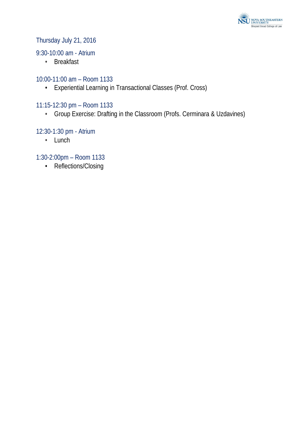

# Thursday July 21, 2016

## 9:30-10:00 am - Atrium

• Breakfast

## 10:00-11:00 am – Room 1133

• Experiential Learning in Transactional Classes (Prof. Cross)

# 11:15-12:30 pm – Room 1133

• Group Exercise: Drafting in the Classroom (Profs. Cerminara & Uzdavines)

# 12:30-1:30 pm - Atrium

• Lunch

# 1:30-2:00pm – Room 1133

• Reflections/Closing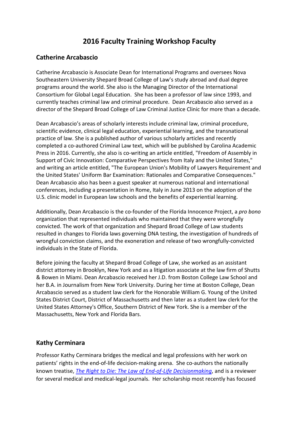# **2016 Faculty Training Workshop Faculty**

#### **Catherine Arcabascio**

Catherine Arcabascio is Associate Dean for International Programs and oversees Nova Southeastern University Shepard Broad College of Law's study abroad and dual degree programs around the world. She also is the Managing Director of the International Consortium for Global Legal Education. She has been a professor of law since 1993, and currently teaches criminal law and criminal procedure. Dean Arcabascio also served as a director of the Shepard Broad College of Law Criminal Justice Clinic for more than a decade.

Dean Arcabascio's areas of scholarly interests include criminal law, criminal procedure, scientific evidence, clinical legal education, experiential learning, and the transnational practice of law. She is a published author of various scholarly articles and recently completed a co-authored Criminal Law text, which will be published by Carolina Academic Press in 2016. Currently, she also is co-writing an article entitled, "Freedom of Assembly in Support of Civic Innovation: Comparative Perspectives from Italy and the United States," and writing an article entitled, "The European Union's Mobility of Lawyers Requirement and the United States' Uniform Bar Examination: Rationales and Comparative Consequences." Dean Arcabascio also has been a guest speaker at numerous national and international conferences, including a presentation in Rome, Italy in June 2013 on the adoption of the U.S. clinic model in European law schools and the benefits of experiential learning.

Additionally, Dean Arcabascio is the co-founder of the Florida Innocence Project, a *pro bono* organization that represented individuals who maintained that they were wrongfully convicted. The work of that organization and Shepard Broad College of Law students resulted in changes to Florida laws governing DNA testing, the investigation of hundreds of wrongful conviction claims, and the exoneration and release of two wrongfully-convicted individuals in the State of Florida.

Before joining the faculty at Shepard Broad College of Law, she worked as an assistant district attorney in Brooklyn, New York and as a litigation associate at the law firm of Shutts & Bowen in Miami. Dean Arcabascio received her J.D. from Boston College Law School and her B.A. in Journalism from New York University. During her time at Boston College, Dean Arcabascio served as a student law clerk for the Honorable William G. Young of the United States District Court, District of Massachusetts and then later as a student law clerk for the United States Attorney's Office, Southern District of New York. She is a member of the Massachusetts, New York and Florida Bars.

#### **Kathy Cerminara**

Professor Kathy Cerminara bridges the medical and legal professions with her work on patients' rights in the end-of-life decision-making arena. She co-authors the nationally known treatise, *[The Right to Die: The Law of End-of-Life Decisionmaking](http://www.kluwerlaw.com/Catalogue/titleinfo.htm?ProdID=0735546657)*, and is a reviewer for several medical and medical-legal journals. Her scholarship most recently has focused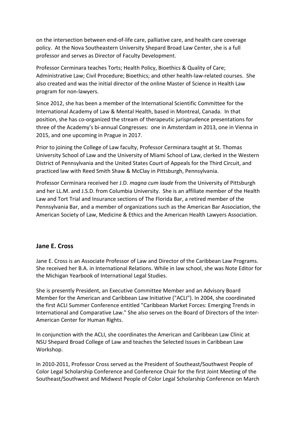on the intersection between end-of-life care, palliative care, and health care coverage policy. At the Nova Southeastern University Shepard Broad Law Center, she is a full professor and serves as Director of Faculty Development.

Professor Cerminara teaches Torts; Health Policy, Bioethics & Quality of Care; Administrative Law; Civil Procedure; Bioethics; and other health-law-related courses. She also created and was the initial director of the online Master of Science in Health Law program for non-lawyers.

Since 2012, she has been a member of the International Scientific Committee for the International Academy of Law & Mental Health, based in Montreal, Canada. In that position, she has co-organized the stream of therapeutic jurisprudence presentations for three of the Academy's bi-annual Congresses: one in Amsterdam in 2013, one in Vienna in 2015, and one upcoming in Prague in 2017.

Prior to joining the College of Law faculty, Professor Cerminara taught at St. Thomas University School of Law and the University of Miami School of Law, clerked in the Western District of Pennsylvania and the United States Court of Appeals for the Third Circuit, and practiced law with Reed Smith Shaw & McClay in Pittsburgh, Pennsylvania.

Professor Cerminara received her J.D. *magna cum laude* from the University of Pittsburgh and her LL.M. and J.S.D. from Columbia University. She is an affiliate member of the Health Law and Tort Trial and Insurance sections of The Florida Bar, a retired member of the Pennsylvania Bar, and a member of organizations such as the American Bar Association, the American Society of Law, Medicine & Ethics and the American Health Lawyers Association.

#### **Jane E. Cross**

Jane E. Cross is an Associate Professor of Law and Director of the Caribbean Law Programs. She received her B.A. in International Relations. While in law school, she was Note Editor for the Michigan Yearbook of International Legal Studies.

She is presently President, an Executive Committee Member and an Advisory Board Member for the American and Caribbean Law Initiative ("ACLI"). In 2004, she coordinated the first ACLI Summer Conference entitled "Caribbean Market Forces: Emerging Trends in International and Comparative Law." She also serves on the Board of Directors of the Inter-American Center for Human Rights.

In conjunction with the ACLI, she coordinates the American and Caribbean Law Clinic at NSU Shepard Broad College of Law and teaches the Selected Issues in Caribbean Law Workshop.

In 2010-2011, Professor Cross served as the President of Southeast/Southwest People of Color Legal Scholarship Conference and Conference Chair for the first Joint Meeting of the Southeast/Southwest and Midwest People of Color Legal Scholarship Conference on March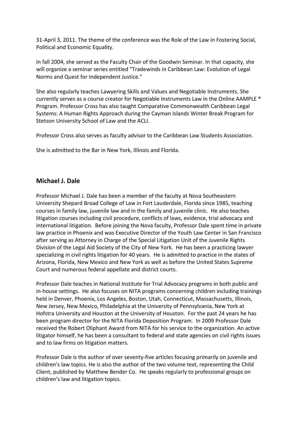31-April 3, 2011. The theme of the conference was the Role of the Law in Fostering Social, Political and Economic Equality.

In fall 2004, she served as the Faculty Chair of the Goodwin Seminar. In that capacity, she will organize a seminar series entitled "Tradewinds in Caribbean Law: Evolution of Legal Norms and Quest for Independent Justice."

She also regularly teaches Lawyering Skills and Values and Negotiable Instruments. She currently serves as a course creator for Negotiable Instruments Law in the Online AAMPLE ® Program. Professor Cross has also taught Comparative Commonwealth Caribbean Legal Systems: A Human Rights Approach during the Cayman Islands Winter Break Program for Stetson University School of Law and the ACLI.

Professor Cross also serves as faculty advisor to the Caribbean Law Students Association.

She is admitted to the Bar in New York, Illinois and Florida.

#### **Michael J. Dale**

Professor Michael J. Dale has been a member of the faculty at Nova Southeastern University Shepard Broad College of Law in Fort Lauderdale, Florida since 1985, teaching courses in family law, juvenile law and in the family and juvenile clinic. He also teaches litigation courses including civil procedure, conflicts of laws, evidence, trial advocacy and international litigation. Before joining the Nova faculty, Professor Dale spent time in private law practice in Phoenix and was Executive Director of the Youth Law Center in San Francisco after serving as Attorney in Charge of the Special Litigation Unit of the Juvenile Rights Division of the Legal Aid Society of the City of New York. He has been a practicing lawyer specializing in civil rights litigation for 40 years. He is admitted to practice in the states of Arizona, Florida, New Mexico and New York as well as before the United States Supreme Court and numerous federal appellate and district courts.

Professor Dale teaches in National Institute for Trial Advocacy programs in both public and in-house settings. He also focuses on NITA programs concerning children including trainings held in Denver, Phoenix, Los Angeles, Boston, Utah, Connecticut, Massachusetts, Illinois, New Jersey, New Mexico, Philadelphia at the University of Pennsylvania, New York at Hofstra University and Houston at the University of Houston. For the past 24 years he has been program director for the NITA Florida Deposition Program. In 2009 Professor Dale received the Robert Oliphant Award from NITA for his service to the organization. An active litigator himself, he has been a consultant to federal and state agencies on civil rights issues and to law firms on litigation matters.

Professor Dale is the author of over seventy-five articles focusing primarily on juvenile and children's law topics. He is also the author of the two volume text, representing the Child Client, published by Matthew Bender Co. He speaks regularly to professional groups on children's law and litigation topics.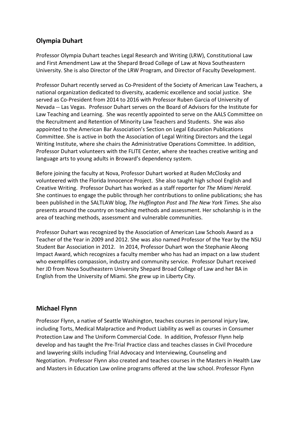## **Olympia Duhart**

Professor Olympia Duhart teaches Legal Research and Writing (LRW), Constitutional Law and First Amendment Law at the Shepard Broad College of Law at Nova Southeastern University. She is also Director of the LRW Program, and Director of Faculty Development.

Professor Duhart recently served as Co-President of the Society of American Law Teachers, a national organization dedicated to diversity, academic excellence and social justice. She served as Co-President from 2014 to 2016 with Professor Ruben Garcia of University of Nevada -- Las Vegas. Professor Duhart serves on the Board of Advisors for the Institute for Law Teaching and Learning. She was recently appointed to serve on the AALS Committee on the Recruitment and Retention of Minority Law Teachers and Students. She was also appointed to the American Bar Association's Section on Legal Education Publications Committee. She is active in both the Association of Legal Writing Directors and the Legal Writing Institute, where she chairs the Administrative Operations Committee. In addition, Professor Duhart volunteers with the FLITE Center, where she teaches creative writing and language arts to young adults in Broward's dependency system.

Before joining the faculty at Nova, Professor Duhart worked at Ruden McClosky and volunteered with the Florida Innocence Project. She also taught high school English and Creative Writing. Professor Duhart has worked as a staff reporter for *The Miami Herald.*  She continues to engage the public through her contributions to online publications; she has been published in the SALTLAW blog, *The Huffington Post* and *The New York Times.* She also presents around the country on teaching methods and assessment. Her scholarship is in the area of teaching methods, assessment and vulnerable communities.

Professor Duhart was recognized by the Association of American Law Schools Award as a Teacher of the Year in 2009 and 2012. She was also named Professor of the Year by the NSU Student Bar Association in 2012. In 2014, Professor Duhart won the Stephanie Aleong Impact Award, which recognizes a faculty member who has had an impact on a law student who exemplifies compassion, industry and community service. Professor Duhart received her JD from Nova Southeastern University Shepard Broad College of Law and her BA in English from the University of Miami. She grew up in Liberty City.

## **Michael Flynn**

Professor Flynn, a native of Seattle Washington, teaches courses in personal injury law, including Torts, Medical Malpractice and Product Liability as well as courses in Consumer Protection Law and The Uniform Commercial Code. In addition, Professor Flynn help develop and has taught the Pre-Trial Practice class and teaches classes in Civil Procedure and lawyering skills including Trial Advocacy and Interviewing, Counseling and Negotiation. Professor Flynn also created and teaches courses in the Masters in Health Law and Masters in Education Law online programs offered at the law school. Professor Flynn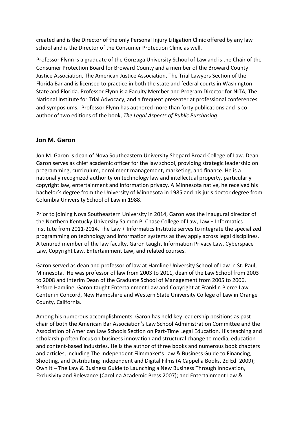created and is the Director of the only Personal Injury Litigation Clinic offered by any law school and is the Director of the Consumer Protection Clinic as well.

Professor Flynn is a graduate of the Gonzaga University School of Law and is the Chair of the Consumer Protection Board for Broward County and a member of the Broward County Justice Association, The American Justice Association, The Trial Lawyers Section of the Florida Bar and is licensed to practice in both the state and federal courts in Washington State and Florida. Professor Flynn is a Faculty Member and Program Director for NITA, The National Institute for Trial Advocacy, and a frequent presenter at professional conferences and symposiums. Professor Flynn has authored more than forty publications and is coauthor of two editions of the book, *The Legal Aspects of Public Purchasing*.

#### **Jon M. Garon**

Jon M. Garon is dean of Nova Southeastern University Shepard Broad College of Law. Dean Garon serves as chief academic officer for the law school, providing strategic leadership on programming, curriculum, enrollment management, marketing, and finance. He is a nationally recognized authority on technology law and intellectual property, particularly copyright law, entertainment and information privacy. A Minnesota native, he received his bachelor's degree from the University of Minnesota in 1985 and his juris doctor degree from Columbia University School of Law in 1988.

Prior to joining Nova Southeastern University in 2014, Garon was the inaugural director of the Northern Kentucky University Salmon P. Chase College of Law, Law + Informatics Institute from 2011-2014. The Law + Informatics Institute serves to integrate the specialized programming on technology and information systems as they apply across legal disciplines. A tenured member of the law faculty, Garon taught Information Privacy Law, Cyberspace Law, Copyright Law, Entertainment Law, and related courses.

Garon served as dean and professor of law at Hamline University School of Law in St. Paul, Minnesota. He was professor of law from 2003 to 2011, dean of the Law School from 2003 to 2008 and Interim Dean of the Graduate School of Management from 2005 to 2006. Before Hamline, Garon taught Entertainment Law and Copyright at Franklin Pierce Law Center in Concord, New Hampshire and Western State University College of Law in Orange County, California.

Among his numerous accomplishments, Garon has held key leadership positions as past chair of both the American Bar Association's Law School Administration Committee and the Association of American Law Schools Section on Part-Time Legal Education. His teaching and scholarship often focus on business innovation and structural change to media, education and content-based industries. He is the author of three books and numerous book chapters and articles, including The Independent Filmmaker's Law & Business Guide to Financing, Shooting, and Distributing Independent and Digital Films (A Cappella Books, 2d Ed. 2009); Own It – The Law & Business Guide to Launching a New Business Through Innovation, Exclusivity and Relevance (Carolina Academic Press 2007); and Entertainment Law &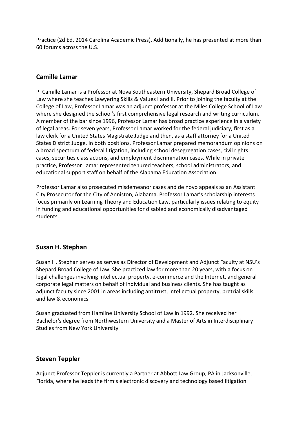Practice (2d Ed. 2014 Carolina Academic Press). Additionally, he has presented at more than 60 forums across the U.S.

#### **Camille Lamar**

P. Camille Lamar is a Professor at Nova Southeastern University, Shepard Broad College of Law where she teaches Lawyering Skills & Values I and II. Prior to joining the faculty at the College of Law, Professor Lamar was an adjunct professor at the Miles College School of Law where she designed the school's first comprehensive legal research and writing curriculum. A member of the bar since 1996, Professor Lamar has broad practice experience in a variety of legal areas. For seven years, Professor Lamar worked for the federal judiciary, first as a law clerk for a United States Magistrate Judge and then, as a staff attorney for a United States District Judge. In both positions, Professor Lamar prepared memorandum opinions on a broad spectrum of federal litigation, including school desegregation cases, civil rights cases, securities class actions, and employment discrimination cases. While in private practice, Professor Lamar represented tenured teachers, school administrators, and educational support staff on behalf of the Alabama Education Association.

Professor Lamar also prosecuted misdemeanor cases and de novo appeals as an Assistant City Prosecutor for the City of Anniston, Alabama. Professor Lamar's scholarship interests focus primarily on Learning Theory and Education Law, particularly issues relating to equity in funding and educational opportunities for disabled and economically disadvantaged students.

#### **Susan H. Stephan**

Susan H. Stephan serves as serves as Director of Development and Adjunct Faculty at NSU's Shepard Broad College of Law. She practiced law for more than 20 years, with a focus on legal challenges involving intellectual property, e-commerce and the Internet, and general corporate legal matters on behalf of individual and business clients. She has taught as adjunct faculty since 2001 in areas including antitrust, intellectual property, pretrial skills and law & economics.

Susan graduated from Hamline University School of Law in 1992. She received her Bachelor's degree from Northwestern University and a Master of Arts in Interdisciplinary Studies from New York University

#### **Steven Teppler**

Adjunct Professor Teppler is currently a Partner at Abbott Law Group, PA in Jacksonville, Florida, where he leads the firm's electronic discovery and technology based litigation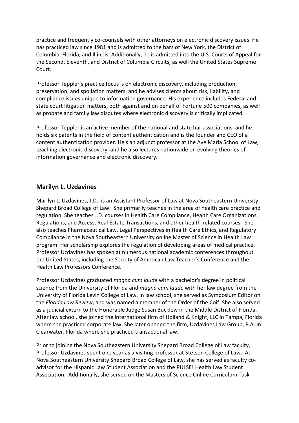practice and frequently co-counsels with other attorneys on electronic discovery issues. He has practiced law since 1981 and is admitted to the bars of New York, the District of Columbia, Florida, and Illinois. Additionally, he is admitted into the U.S. Courts of Appeal for the Second, Eleventh, and District of Columbia Circuits, as well the United States Supreme Court.

Professor Teppler's practice focus is on electronic discovery, including production, preservation, and spoliation matters, and he advises clients about risk, liability, and compliance issues unique to information governance. His experience includes Federal and state court litigation matters, both against and on behalf of Fortune 500 companies, as well as probate and family law disputes where electronic discovery is critically implicated.

Professor Teppler is an active member of the national and state bar associations, and he holds six patents in the field of content authentication and is the founder and CEO of a content authentication provider. He's an adjunct professor at the Ave Maria School of Law, teaching electronic discovery, and he also lectures nationwide on evolving theories of information governance and electronic discovery.

#### **Marilyn L. Uzdavines**

Marilyn L. Uzdavines, J.D., is an Assistant Professor of Law at Nova Southeastern University Shepard Broad College of Law. She primarily teaches in the area of health care practice and regulation. She teaches J.D. courses in Health Care Compliance, Health Care Organizations, Regulations, and Access, Real Estate Transactions, and other health-related courses. She also teaches Pharmaceutical Law, Legal Perspectives in Health Care Ethics, and Regulatory Compliance in the Nova Southeastern University online Master of Science in Health Law program. Her scholarship explores the regulation of developing areas of medical practice. Professor Uzdavines has spoken at numerous national academic conferences throughout the United States, including the Society of American Law Teacher's Conference and the Health Law Professors Conference.

Professor Uzdavines graduated *magna cum laude* with a bachelor's degree in political science from the University of Florida and *magna cum laude* with her law degree from the University of Florida Levin College of Law. In law school, she served as Symposium Editor on the *Florida Law Review*, and was named a member of the Order of the Coif. She also served as a judicial extern to the Honorable Judge Susan Bucklew in the Middle District of Florida. After law school, she joined the international firm of Holland & Knight, LLC in Tampa, Florida where she practiced corporate law. She later opened the firm, Uzdavines Law Group, P.A. in Clearwater, Florida where she practiced transactional law.

Prior to joining the Nova Southeastern University Shepard Broad College of Law faculty, Professor Uzdavines spent one year as a visiting professor at Stetson College of Law. At Nova Southeastern University Shepard Broad College of Law, she has served as faculty coadvisor for the Hispanic Law Student Association and the PULSE! Health Law Student Association. Additionally, she served on the Masters of Science Online Curriculum Task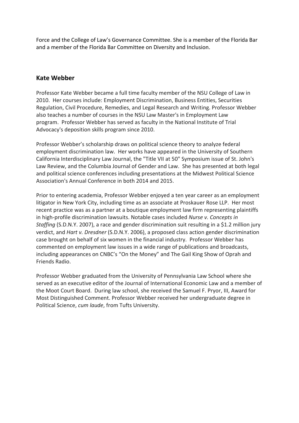Force and the College of Law's Governance Committee. She is a member of the Florida Bar and a member of the Florida Bar Committee on Diversity and Inclusion.

#### **Kate Webber**

Professor Kate Webber became a full time faculty member of the NSU College of Law in 2010. Her courses include: Employment Discrimination, Business Entities, Securities Regulation, Civil Procedure, Remedies, and Legal Research and Writing. Professor Webber also teaches a number of courses in the NSU Law Master's in Employment Law program. Professor Webber has served as faculty in the National Institute of Trial Advocacy's deposition skills program since 2010.

Professor Webber's scholarship draws on political science theory to analyze federal employment discrimination law. Her works have appeared in the University of Southern California Interdisciplinary Law Journal, the "Title VII at 50" Symposium issue of St. John's Law Review, and the Columbia Journal of Gender and Law. She has presented at both legal and political science conferences including presentations at the Midwest Political Science Association's Annual Conference in both 2014 and 2015.

Prior to entering academia, Professor Webber enjoyed a ten year career as an employment litigator in New York City, including time as an associate at Proskauer Rose LLP. Her most recent practice was as a partner at a boutique employment law firm representing plaintiffs in high-profile discrimination lawsuits. Notable cases included *Nurse v. Concepts in Staffing* (S.D.N.Y. 2007), a race and gender discrimination suit resulting in a \$1.2 million jury verdict, and *Hart v. Dresdner* (S.D.N.Y. 2006), a proposed class action gender discrimination case brought on behalf of six women in the financial industry. Professor Webber has commented on employment law issues in a wide range of publications and broadcasts, including appearances on CNBC's "On the Money" and The Gail King Show of Oprah and Friends Radio.

Professor Webber graduated from the University of Pennsylvania Law School where she served as an executive editor of the Journal of International Economic Law and a member of the Moot Court Board. During law school, she received the Samuel F. Pryor, III, Award for Most Distinguished Comment. Professor Webber received her undergraduate degree in Political Science, *cum laude*, from Tufts University.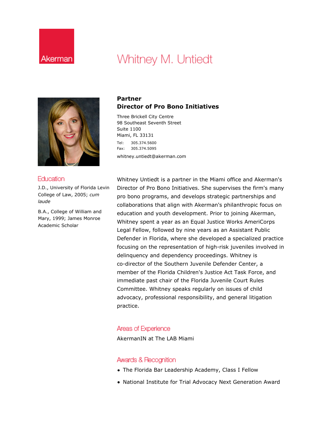# Akerman

# Whitney M. Untiedt



#### Education

**J.D., University of Florida Levin College of Law, 2005;** *cum laude*

**B.A., College of William and Mary, 1999; James Monroe Academic Scholar**

#### **Partner Director of Pro Bono Initiatives**

**Three Brickell City Centre 98 Southeast Seventh Street Suite 1100 Miami, FL 33131 Tel: 305.374.5600 Fax: 305.374.5095 whitney.untiedt@akerman.com**

**Whitney Untiedt is a partner in the Miami office and Akerman's Director of Pro Bono Initiatives. She supervises the firm's many pro bono programs, and develops strategic partnerships and collaborations that align with Akerman's philanthropic focus on education and youth development. Prior to joining Akerman, Whitney spent a year as an Equal Justice Works AmeriCorps Legal Fellow, followed by nine years as an Assistant Public Defender in Florida, where she developed a specialized practice focusing on the representation of high-risk juveniles involved in delinquency and dependency proceedings. Whitney is co-director of the Southern Juvenile Defender Center, a member of the Florida Children's Justice Act Task Force, and immediate past chair of the Florida Juvenile Court Rules Committee. Whitney speaks regularly on issues of child advocacy, professional responsibility, and general litigation practice.**

#### Areas of Experience

**AkermanIN at The LAB Miami**

#### Awards & Recognition

- **The Florida Bar Leadership Academy, Class I Fellow**
- **National Institute for Trial Advocacy Next Generation Award**